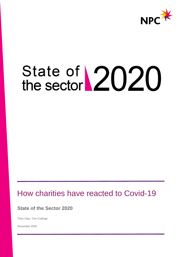

# State of 2020<br>the sector

# How charities have reacted to Covid-19

**State of the Sector 2020**

Theo Clay, Tom Collinge

November 2020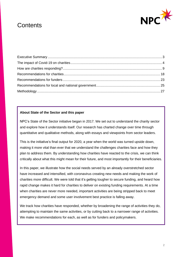# **Contents**



#### **About State of the Sector and this paper**

NPC's State of the Sector initiative began in 2017. We set out to understand the charity sector and explore how it understands itself. Our research has charted change over time through quantitative and qualitative methods, along with essays and viewpoints from sector leaders.

This is the initiative's final output for 2020, a year when the world was turned upside down, making it more vital than ever that we understand the challenges charities face and how they plan to address them. By understanding how charities have reacted to the crisis, we can think critically about what this might mean for their future, and most importantly for their beneficiaries.

In this paper, we illustrate how the social needs served by an already overstretched sector have increased and intensified, with coronavirus creating new needs and making the work of charities more difficult. We were told that it's getting tougher to secure funding, and heard how rapid change makes it hard for charities to deliver on existing funding requirements. At a time when charities are never more needed, important activities are being stripped back to meet emergency demand and some user involvement best practice is falling away.

We track how charities have responded, whether by broadening the range of activities they do, attempting to maintain the same activities, or by cutting back to a narrower range of activities. We make recommendations for each, as well as for funders and policymakers.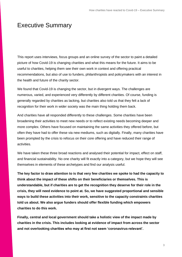## <span id="page-2-0"></span>Executive Summary

This report uses interviews, focus groups and an online survey of the sector to paint a detailed picture of how Covid-19 is changing charities and what this means for the future. It aims to be useful to charities, helping them see their own work in context and offering practical recommendations, but also of use to funders, philanthropists and policymakers with an interest in the health and future of the charity sector.

We found that Covid-19 is changing the sector, but in divergent ways. The challenges are numerous, varied, and experienced very differently by different charities. Of course, funding is generally regarded by charities as lacking, but charities also told us that they felt a lack of recognition for their work in wider society was the main thing holding them back.

And charities have all responded differently to these challenges. Some charities have been broadening their activities to meet new needs or to reflect existing needs becoming deeper and more complex. Others have focused on maintaining the same activities they offered before, but often they have had to offer these via new mediums, such as digitally. Finally, many charities have been prompted by the crisis to refocus on their core offering and have reduced their range of activities.

We have taken these three broad reactions and analysed their potential for impact, effect on staff, and financial sustainability. No one charity will fit exactly into a category, but we hope they will see themselves in elements of these archetypes and find our analysis useful.

**The key factor to draw attention to is that very few charities we spoke to had the capacity to think about the impact of these shifts on their beneficiaries or themselves. This is understandable, but if charities are to get the recognition they deserve for their role in the crisis, they will need evidence to point at. So, we have suggested proportional and sensible ways to build these activities into their work, sensitive to the capacity constraints charities told us about. We also argue funders should offer flexible funding which empowers charities to do this work.** 

**Finally, central and local government should take a holistic view of the impact made by charities in the crisis. This includes looking at evidence of impact from across the sector and not overlooking charities who may at first not seem 'coronavirus-relevant'.**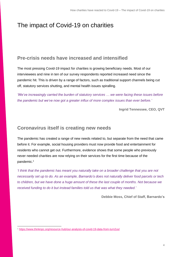# <span id="page-3-0"></span>The impact of Covid-19 on charities

## **Pre-crisis needs have increased and intensified**

The most pressing Covid-19 impact for charities is growing beneficiary needs. Most of our interviewees and nine in ten of our survey respondents reported increased need since the pandemic hit. This is driven by a range of factors, such as traditional support channels being cut off, statutory services shutting, and mental health issues spiralling.

*'We've increasingly carried the burden of statutory services … we were facing these issues before the pandemic but we've now got a greater influx of more complex issues than ever before.'*

**Ingrid Tennessee, CEO, QVT**

## **Coronavirus itself is creating new needs**

The pandemic has created a range of new needs related to, but separate from the need that came before it. For example, social housing providers must now provide food and entertainment for residents who cannot get out. Furthermore, evidence shows that some people who previously never needed charities are now relying on their services for the first time because of the pandemic.<sup>1</sup>

*'I think that the pandemic has meant you naturally take on a broader challenge that you are not necessarily set up to do. As an example, Barnardo's does not naturally deliver food parcels or tech to children, but we have done a huge amount of these the last couple of months. Not because we received funding to do it but instead families told us that was what they needed.'*

**Debbie Moss, Chief of Staff, Barnardo's**

<sup>1</sup> <https://www.thinknpc.org/resource-hub/our-analysis-of-covid-19-data-from-turn2us/>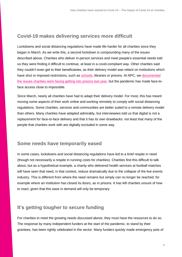## **Covid-19 makes delivering services more difficult**

Lockdowns and social distancing regulations have made life harder for all charities since they began in March. As we write this, a second lockdown is compounding many of the issues described above. Charities who deliver in-person services and meet people's essential needs told us they were finding it difficult to continue, at least in a covid-compliant way. Other charities said they couldn't even get to their beneficiaries, as their delivery model was reliant on institutions which have shut or imposed restrictions, such as [schools,](https://www.thinknpc.org/blog/back-to-school-for-charities/) libraries or prisons. At NPC, we documented [the issues charities were facing getting into prisons last year,](https://www.thinknpc.org/resource-hub/how-are-charities-accessing-people-in-prison-to-deliver-vital-services/) but the pandemic has made face-toface access close to impossible.

Since March, nearly all charities have had to adapt their delivery model. For most, this has meant moving some aspects of their work online and working remotely to comply with social distancing regulations. Some charities, services and communities are better suited to a remote delivery model than others. Many charities have adapted admirably, but interviewees told us that digital is not a replacement for face-to-face delivery and that it has its own drawbacks: not least that many of the people that charities work with are digitally excluded in some way.

## **Some needs have temporarily eased**

In some cases, lockdowns and social distancing regulations have led to a brief respite in need (though not necessarily a respite in running costs for charities). Charities find this difficult to talk about, but as a hypothetical example, a charity who delivered health services at football matches will have seen that need, in that context, reduce dramatically due to the collapse of the live events industry. This is different from where the need remains but simply can no longer be reached, for example where an institution has closed its doors, as in prisons. It has left charities unsure of how to react, given that this ease in demand will only be temporary.

## **It's getting tougher to secure funding**

For charities to meet the growing needs discussed above, they must have the resources to do so. The response by many independent funders at the start of the pandemic, to stand by their grantees, has been rightly celebrated in the sector. Many funders quickly made emergency pots of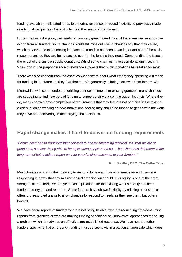funding available, reallocated funds to the crisis response, or added flexibility to previously made grants to allow grantees the agility to meet the needs of the moment.

But as the crisis drags on, the needs remain very great indeed. Even if there was decisive positive action from all funders, some charities would still miss out. Some charities say that their cause, which may even be experiencing increased demand, is not seen as an important part of the crisis response, and so they are being passed over for the funding they need. Compounding the issue is the effect of the crisis on public donations. Whilst some charities have seen donations rise, in a 'crisis boost', the preponderance of evidence suggests that public donations have fallen for most.

There was also concern from the charities we spoke to about what emergency spending will mean for funding in the future, as they fear that today's generosity is being borrowed from tomorrow's.

Meanwhile, with some funders prioritising their commitments to existing grantees, many charities are struggling to find new pots of funding to support their work coming out of the crisis. Where they do, many charities have complained of requirements that they feel are not priorities in the midst of a crisis, such as working on new innovations, feeling they should be funded to get on with the work they have been delivering in these trying circumstances.

## **Rapid change makes it hard to deliver on funding requirements**

*'People have had to transform their services to deliver something different, it's what we are so good at as a sector, being able to be agile when people need us … but what does that mean in the long term of being able to report on your core funding outcomes to your funders.'*

**Kim Shutler, CEO, The Cellar Trust**

Most charities who shift their delivery to respond to new and pressing needs around them are responding in a way that any mission-based organisation should. This agility is one of the great strengths of the charity sector, yet it has implications for the existing work a charity has been funded to carry out and report on. Some funders have shown flexibility by relaxing processes or offering unrestricted grants to allow charities to respond to needs as they see them, but others haven't.

We have heard reports of funders who are not being flexible, who are requesting time-consuming reports from grantees or who are making funding conditional on 'innovative' approaches to tackling a problem which already has an effective, pre-established response. We have heard of other funders specifying that emergency funding must be spent within a particular timescale which does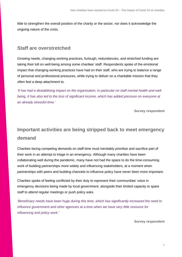little to strengthen the overall position of the charity or the sector, nor does it acknowledge the ongoing nature of the crisis.

### **Staff are overstretched**

Growing needs, changing working practices, furlough, redundancies, and stretched funding are taking their toll on well-being among some charities' staff. Respondents spoke of the emotional impact that changing working practices have had on their staff, who are trying to balance a range of personal and professional pressures, while trying to deliver on a charitable mission that they often feel a deep attachment to.

*'It has had a destabilising impact on the organisation, in particular on staff mental health and wellbeing. It has also led to the loss of significant income, which has added pressure on everyone at an already stressful time.'*

**Survey respondent**

# **Important activities are being stripped back to meet emergency demand**

Charities facing competing demands on staff-time must inevitably prioritise and sacrifice part of their work in an attempt to triage in an emergency. Although many charities have been collaborating well during the pandemic, many have not had the space to do the time-consuming work of building partnerships more widely and influencing stakeholders, at a moment when partnerships with peers and building channels to influence policy have never been more important.

Charities spoke of feeling conflicted by their duty to represent their communities' voice in emergency decisions being made by local government, alongside their limited capacity to spare staff to attend regular meetings or push policy asks.

*'Beneficiary needs have been huge during this time, which has significantly increased the need to influence government and other agencies at a time when we have very little resource for influencing and policy work.'*

**Survey respondent**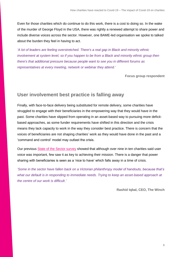Even for those charities which do continue to do this work, there is a cost to doing so. In the wake of the murder of George Floyd in the USA, there was rightly a renewed attempt to share power and include diverse voices across the sector. However, one BAME-led organisation we spoke to talked about the burden they feel in having to act.

*'A lot of leaders are feeling overstretched. There's a real gap in Black and minority ethnic involvement at system level, so if you happen to be from a Black and minority ethnic group then there's that additional pressure because people want to see you in different forums as representatives at every meeting, network or webinar they attend.'*

**Focus group respondent**

## **User involvement best practice is falling away**

Finally, with face-to-face delivery being substituted for remote delivery, some charities have struggled to engage with their beneficiaries in the empowering way that they would have in the past. Some charities have slipped from operating in an asset-based way to pursuing more deficitbased approaches, as some funder requirements have shifted in this direction and the crisis means they lack capacity to work in the way they consider best practice. There is concern that the voices of beneficiaries are not shaping charities' work as they would have done in the past and a 'command and control' model may outlast the crisis.

Our previous [State of the Sector survey](https://www.thinknpc.org/resource-hub/stots2020/) showed that although over nine in ten charities said user voice was important, few saw it as key to achieving their mission. There is a danger that power sharing with beneficiaries is seen as a 'nice to have' which falls away in a time of crisis.

*'Some in the sector have fallen back on a Victorian philanthropy model of handouts, because that's what our default is in responding to immediate needs. Trying to keep an asset-based approach at the centre of our work is difficult.'*

**Rashid Iqbal, CEO, The Winch**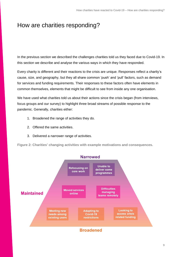# <span id="page-8-0"></span>How are charities responding?

In the previous section we described the challenges charities told us they faced due to Covid-19. In this section we describe and analyse the various ways in which they have responded.

Every charity is different and their reactions to the crisis are unique. Responses reflect a charity's cause, size, and geography, but they all share common 'push' and 'pull' factors, such as demand for services and funding requirements. Their responses to these factors often have elements in common themselves, elements that might be difficult to see from inside any one organisation.

We have used what charities told us about their actions since the crisis began (from interviews, focus groups and our survey) to highlight three broad streams of possible response to the pandemic. Generally, charities either:

- 1. Broadened the range of activities they do.
- 2. Offered the same activities.
- 3. Delivered a narrower range of activities.

**Figure 2: Charities' changing activities with example motivations and consequences.**

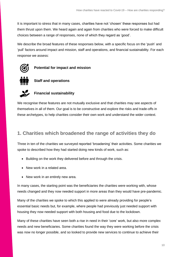It is important to stress that in many cases, charities have not 'chosen' these responses but had them thrust upon them. We heard again and again from charities who were forced to make difficult choices between a range of responses, none of which they regard as 'good'.

We describe the broad features of these responses below, with a specific focus on the 'push' and 'pull' factors around impact and mission, staff and operations, and financial sustainability. For each response we assess:



**Potential for impact and mission**



#### **Staff and operations**



#### **Financial sustainability**

We recognise these features are not mutually exclusive and that charities may see aspects of themselves in all of them. Our goal is to be constructive and explore the risks and trade-offs in these archetypes, to help charities consider their own work and understand the wider context.

## **1. Charities which broadened the range of activities they do**

Three in ten of the charities we surveyed reported 'broadening' their activities. Some charities we spoke to described how they had started doing new kinds of work, such as:

- Building on the work they delivered before and through the crisis.
- New work in a related area.
- New work in an entirely new area.

In many cases, the starting point was the beneficiaries the charities were working with, whose needs changed and they now needed support in more areas than they would have pre-pandemic.

Many of the charities we spoke to which this applied to were already providing for people's essential basic needs but, for example, where people had previously just needed support with housing they now needed support with both housing and food due to the lockdown.

Many of these charities have seen both a rise in need in their 'core' work, but also more complex needs and new beneficiaries. Some charities found the way they were working before the crisis was now no longer possible, and so looked to provide new services to continue to achieve their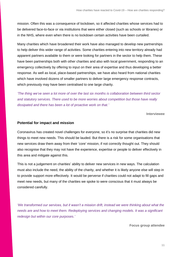mission. Often this was a consequence of lockdown, so it affected charities whose services had to be delivered face-to-face or via institutions that were either closed (such as schools or libraries) or in the NHS, where even when there is no lockdown certain activities have been curtailed.

Many charities which have broadened their work have also managed to develop new partnerships to help deliver this wider range of activities. Some charities entering into new territory already had apparent partners available to them or were looking for partners in the sector to help them. These have been partnerships both with other charities and also with local government, responding to an emergency collectively by offering to input on their area of expertise and thus developing a better response. As well as local, place-based partnerships, we have also heard from national charities which have involved dozens of smaller partners to deliver large emergency response contracts, which previously may have been centralised to one large charity.

*'The thing we've seen a lot more of over the last six months is collaboration between third sector and statutory services. There used to be more worries about competition but those have really dissipated and there has been a lot of proactive work on that.'*

**Interviewee**

#### **Potential for impact and mission**

Coronavirus has created novel challenges for everyone, so it's no surprise that charities did new things to meet new needs. This should be lauded. But there is a risk for some organisations that new services draw them away from their 'core' mission, if not correctly thought out. They should also recognise that they may not have the experience, expertise or people to deliver effectively in this area and mitigate against this.

This is not a judgement on charities' ability to deliver new services in new ways. The calculation must also include the need, the ability of the charity, and whether it is likely anyone else will step in to provide support more effectively. It would be perverse if charities could not adapt to fill gaps and meet new needs, but many of the charities we spoke to were conscious that it must always be considered carefully.

*'We transformed our services, but it wasn't a mission drift, instead we were thinking about what the needs are and how to meet them. Redeploying services and changing models. It was a significant redesign but within our core purposes.'*

**Focus group attendee**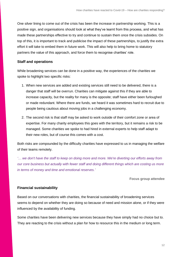One silver lining to come out of the crisis has been the increase in partnership working. This is a positive sign, and organisations should look at what they've learnt from this process, and what has made these partnerships effective to try and continue to sustain them once the crisis subsides. On top of this, it is important to track and publicise the impact of these partnerships, to justify the extra effort it will take to embed them in future work. This will also help to bring home to statutory partners the value of this approach, and force them to recognise charities' role.

#### **Staff and operations**

While broadening services can be done in a positive way, the experiences of the charities we spoke to highlight two specific risks:

- 1. When new services are added and existing services still need to be delivered, there is a danger that staff will be overrun. Charities can mitigate against this if they are able to increase capacity, but the reality for many is the opposite; staff have either been furloughed or made redundant. Where there are funds, we heard it was sometimes hard to recruit due to people being cautious about moving jobs in a challenging economy.
- 2. The second risk is that staff may be asked to work outside of their comfort zone or area of expertise. For many charity employees this goes with the territory, but it remains a risk to be managed. Some charities we spoke to had hired in external experts to help staff adapt to their new roles, but of course this comes with a cost.

Both risks are compounded by the difficulty charities have expressed to us in managing the welfare of their teams remotely.

*'… we don't have the staff to keep on doing more and more. We're diverting our efforts away from our core business but actually with fewer staff and doing different things which are costing us more in terms of money and time and emotional reserves.'*

**Focus group attendee**

#### **Financial sustainability**

Based on our conversations with charities, the financial sustainability of broadening services seems to depend on whether they are doing so because of need and mission alone, or if they were influenced by the availability of funding.

Some charities have been delivering new services because they have simply had no choice but to. They are reacting to the crisis without a plan for how to resource this in the medium or long term.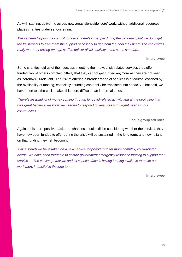As with staffing, delivering across new areas alongside 'core' work, without additional resources, places charities under serious strain.

*'We've been helping the council to house homeless people during the pandemic, but we don't get the full benefits to give them the support necessary to get them the help they need. The challenges really were not having enough staff to deliver all this activity to the same standard.'*

**Interviewee**

Some charities told us of their success in getting their new, crisis related services they offer funded, whilst others complain bitterly that they cannot get funded anymore as they are not seen as 'coronavirus-relevant'. The risk of offering a broader range of services is of course lessened by the availability of funding, especially if funding can easily be translated into capacity. That said, we have been told the crisis makes this more difficult than in normal times.

*'There's an awful lot of money coming through for covid-related activity and at the beginning that was great because we know we needed to respond to very pressing urgent needs in our communities.'*

**Focus group attendee**

Against this more positive backdrop, charities should still be considering whether the services they have now been funded to offer during the crisis will be sustained in the long term, and how reliant on that funding they risk becoming.

*'Since March we have taken on a new service for people with far more complex, covid-related needs. We have been fortunate to secure government emergency response funding to support that service … The challenge that we and all charities face is having funding available to make our work more impactful in the long term.'*

**Interviewee**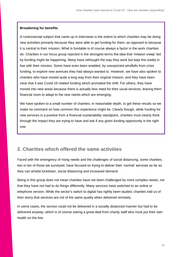#### **Broadening for benefits**

A controversial subject that came up in interviews is the extent to which charities may be doing new activities primarily because they were able to get funding for them, as opposed to because it is central to their mission. What is fundable is of course always a factor in the work charities do. Charities in our focus group rejected in the strongest terms the idea that 'mission creep' led by funding might be happening. Many have rethought the way they work but kept this totally in line with their mission. Some have even been enabled, by unexpected windfalls from crisis funding, to explore new avenues they had always wanted to. However, we have also spoken to charities who have moved quite a long way from their original mission, and they have been clear that it was Covid-19 related funding which prompted the shift. For others, they have moved into new areas because there is actually less need for their usual services, leaving them financial room to adapt to the new needs which are emerging.

We have spoken to a small number of charities, in reasonable depth, to get these results so we make no comment on how common this experience might be. Clearly though, while funding for new services is a positive from a financial sustainability standpoint, charities must clearly think through the impact they are trying to have and ask if any given funding opportunity is the right one.

## **2. Charities which offered the same activities**

Faced with the emergency of rising needs and the challenges of social distancing, some charities, two in ten of those we surveyed, have focused on trying to deliver their 'normal' services as far as they can amidst lockdown, social distancing and increased demand.

Being in this group does not mean charities have not been challenged by more complex needs, nor that they have not had to do things differently. Many services have switched to an online or telephone version. While the sector's switch to digital has rightly been lauded, charities told us of their worry that services are not of the same quality when delivered remotely.

In some cases, the service could not be delivered in a socially distanced manner but had to be delivered anyway, which is of course asking a great deal from charity staff who must put their own health on the line.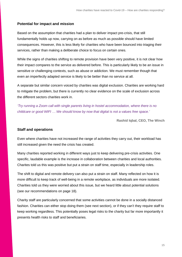#### **Potential for impact and mission**

Based on the assumption that charities had a plan to deliver impact pre-crisis, that still fundamentally holds up now, carrying on as before as much as possible should have limited consequences. However, this is less likely for charities who have been bounced into triaging their services, rather than making a deliberate choice to focus on certain ones.

While the signs of charities shifting to remote provision have been very positive, it is not clear how their impact compares to the service as delivered before. This is particularly likely to be an issue in sensitive or challenging contexts, such as abuse or addiction. We must remember though that even an imperfectly adapted service is likely to be better than no service at all.

A separate but similar concern voiced by charities was digital exclusion. Charities are working hard to mitigate the problem, but there is currently no clear evidence on the scale of exclusion across the different sectors charities work in.

*'Try running a Zoom call with single parents living in hostel accommodation, where there is no childcare or good WIFI … We should know by now that digital is not a values free space.'*

**Rashid Iqbal, CEO, The Winch**

#### **Staff and operations**

Even where charities have not increased the range of activities they carry out, their workload has still increased given the need the crisis has created.

Many charities reported working in different ways just to keep delivering pre-crisis activities. One specific, laudable example is the increase in collaboration between charities and local authorities. Charites told us this was positive but put a strain on staff time, especially in leadership roles.

The shift to digital and remote delivery can also put a strain on staff. Many reflected on how it is more difficult to keep track of well-being in a remote workplace, as individuals are more isolated. Charities told us they were worried about this issue, but we heard little about potential solutions (see our recommendations on page 18).

Charity staff are particularly concerned that some activities cannot be done in a socially distanced fashion. Charities can either stop doing them (see next section), or if they can't they require staff to keep working regardless. This potentially poses legal risks to the charity but far more importantly it presents health risks to staff and beneficiaries.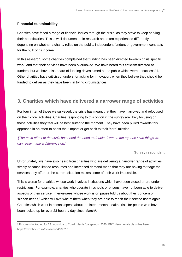#### **Financial sustainability**

Charities have faced a range of financial issues through the crisis, as they strive to keep serving their beneficiaries. This is well documented in research and often experienced differently depending on whether a charity relies on the public, independent funders or government contracts for the bulk of its income.

In this research, some charities complained that funding has been directed towards crisis specific work, and that their services have been overlooked. We have heard this criticism directed at funders, but we have also heard of funding drives aimed at the public which were unsuccessful. Other charities have criticised funders for asking for innovation, when they believe they should be funded to deliver as they have been, in trying circumstances.

## **3. Charities which have delivered a narrower range of activities**

For four in ten of those we surveyed, the crisis has meant that they have 'narrowed and refocused' on their 'core' activities. Charities responding to this option in the survey are likely focusing on those activities they feel will be best suited to the moment. They have been pulled towards this approach in an effort to boost their impact or get back to their 'core' mission.

*'[The main effect of the crisis has been] the need to double down on the top one / two things we can really make a difference on.'*

#### **Survey respondent**

Unfortunately, we have also heard from charities who are delivering a narrower range of activities simply because limited resources and increased demand mean that they are having to triage the services they offer, or the current situation makes some of their work impossible.

This is worse for charities whose work involves institutions which have been closed or are under restrictions. For example, charities who operate in schools or prisons have not been able to deliver aspects of their service. Interviewees whose work is on pause told us about their concern of 'hidden needs,' which will overwhelm them when they are able to reach their service users again. Charities which work in prisons speak about the latent mental health crisis for people who have been locked up for over 23 hours a day since March<sup>2</sup>.

<sup>2</sup> Prisoners locked up for 23 hours due to Covid rules is 'dangerous (2020) BBC News. Available online here: https://www.bbc.co.uk/news/uk-54607813.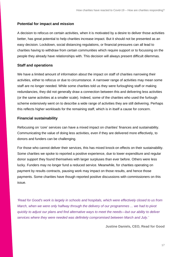#### **Potential for impact and mission**

A decision to refocus on certain activities, when it is motivated by a desire to deliver those activities better, has great potential to help charities increase impact. But it should not be presented as an easy decision. Lockdown, social distancing regulations, or financial pressures can all lead to charities having to withdraw from certain communities which require support or to focussing on the people they already have relationships with. This decision will always present difficult dilemmas.

#### **Staff and operations**

We have a limited amount of information about the impact on staff of charities narrowing their activities, either to refocus or due to circumstance. A narrower range of activities may mean some staff are no longer needed. While some charities told us they were furloughing staff or making redundancies, they did not generally draw a connection between this and delivering less activities (or the same activities at a smaller scale). Indeed, some of the charities who used the furlough scheme extensively went on to describe a wide range of activities they are still delivering. Perhaps this reflects higher workloads for the remaining staff, which is in itself a cause for concern.

#### **Financial sustainability**

Refocusing on 'core' services can have a mixed impact on charities' finances and sustainability. Communicating the value of doing less activities, even if they are delivered more effectively, to donors and funders can be challenging.

For those who cannot deliver their services, this has mixed knock-on effects on their sustainability. Some charities we spoke to reported a positive experience, due to lower expenditure and regular donor support they found themselves with larger surpluses than ever before. Others were less lucky. Funders may no longer fund a reduced service. Meanwhile, for charities operating on payment by results contracts, pausing work may impact on those results, and hence those payments. Some charities have though reported positive discussions with commissioners on this issue.

*'Read for Good's work is largely in schools and hospitals, which were effectively closed to us from March, when we were only halfway through the delivery of our programmes ... we had to pivot quickly to adjust our plans and find alternative ways to meet the needs*—*but our ability to deliver services where they were needed was definitely compromised between March and July.'*

**Justine Daniels, CEO, Read for Good**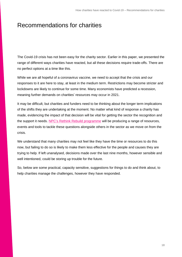# <span id="page-17-0"></span>Recommendations for charities

The Covid-19 crisis has not been easy for the charity sector. Earlier in this paper, we presented the range of different ways charities have reacted, but all these decisions require trade-offs. There are no perfect options at a time like this.

While we are all hopeful of a coronavirus vaccine, we need to accept that the crisis and our responses to it are here to stay, at least in the medium term. Restrictions may become stricter and lockdowns are likely to continue for some time. Many economists have predicted a recession, meaning further demands on charities' resources may occur in 2021.

It may be difficult, but charities and funders need to be thinking about the longer term implications of the shifts they are undertaking at the moment. No matter what kind of response a charity has made, evidencing the impact of that decision will be vital for getting the sector the recognition and the support it needs. NPC's Rethink Rebuild [programme](https://www.thinknpc.org/examples-of-our-work/initiatives-were-working-on/rethink-rebuild/) will be producing a range of resources, events and tools to tackle these questions alongside others in the sector as we move on from the crisis.

We understand that many charities may not feel like they have the time or resources to do this now, but failing to do so is likely to make them less effective for the people and causes they are trying to help. If left unanalysed, decisions made over the last nine months, however sensible and well intentioned, could be storing up trouble for the future.

So, below are some practical, capacity sensitive, suggestions for things to do and think about, to help charities manage the challenges, however they have responded.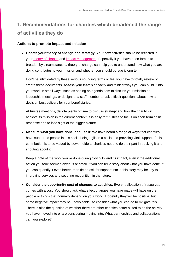# **1. Recommendations for charities which broadened the range of activities they do**

#### **Actions to promote impact and mission**

• **Update your theory of change and strategy**: Your new activities should be reflected in your [theory of change](https://www.thinknpc.org/resource-hub/ten-steps/) and [impact management.](https://www.thinknpc.org/resource-hub/understanding-impact/) Especially if you have been forced to broaden by circumstance, a theory of change can help you to understand how what you are doing contributes to your mission and whether you should pursue it long term.

Don't be intimidated by these serious sounding terms or feel you have to totally review or create these documents. Assess your team's capacity and think of ways you can build it into your work in small ways, such as adding an agenda item to discuss your mission at leadership meetings, or designate a staff member to ask difficult questions about how a decision best delivers for your beneficiaries.

At trustee meetings, devote plenty of time to discuss strategy and how the charity will achieve its mission in the current context. It is easy for trustees to focus on short term crisis response and to lose sight of the bigger picture.

• **Measure what you have done, and use it**: We have heard a range of ways that charities have supported people in this crisis, being agile in a crisis and providing vital support. If this contribution is to be valued by powerholders, charities need to do their part in tracking it and shouting about it.

Keep a note of the work you've done during Covid-19 and its impact, even if the additional action you took seemed obvious or small. If you can tell a story about what you have done, if you can quantify it even better, then tie an ask for support into it, this story may be key to improving services and securing recognition in the future.

• **Consider the opportunity cost of changes to activities**: Every reallocation of resources comes with a cost. You should ask what effect changes you have made will have on the people or things that normally depend on your work. Hopefully they will be positive, but some negative impact may be unavoidable, so consider what you can do to mitigate this. There is also the question of whether there are other charities better suited to do the activity you have moved into or are considering moving into. What partnerships and collaborations can you explore?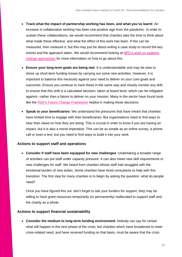- **Track what the impact of partnership working has been, and what you've learnt**: An increase in collaborative working has been one positive sign from the pandemic. In order to sustain these collaborations, we would recommend that charities take the time to think about what made these effective, and what the effect of this work has been. If this can be measured, then measure it, but this may just be about writing a case study to record the key events and the approach taken. We would recommend looking at [NPC's work on systems](https://www.thinknpc.org/resource-hub/systems-change-a-guide-to-what-it-is-and-how-to-do-it/)  [change approaches](https://www.thinknpc.org/resource-hub/systems-change-a-guide-to-what-it-is-and-how-to-do-it/) for more information on how to go about this.
- **Ensure your long-term goals are being met**: It is understandable and may be wise to shore up short-term funding losses by carrying out some new activities. However, it is important to balance this necessity against your need to deliver on your core goals and outcomes. Ensure you continue to track these in the same way and closely monitor any drift, to ensure that this shift is a calculated decision, taken at board level, which can be mitigated against—rather than a failure to deliver on your mission. Many in the sector have found tools like the RSA's Future [Change Framework](https://www.thersa.org/blog/2020/06/rsa-change-framework) helpful in making these decisions.
- **Speak to your beneficiaries**: We understand the pressures that have meant that charities have limited time to engage with their beneficiaries. But organisations need to find ways to hear their views on how they are doing. This is crucial in order to know if you are having an impact, but it is also a moral imperative. This can be as simple as an online survey, a phone call or even a text, but you need to find ways to build it into your work.

#### **Actions to support staff and operations**

• **Consider if staff have been equipped for new challenges**: Undertaking a broader range of activities can put staff under capacity pressure. It can also mean new skill requirements or new challenges for staff. We heard from charities whose staff had struggled with the emotional burden of new duties. Some charities have hired consultants to help with this transition. The first step for many charities is to begin by asking the question: what do people need?

Once you have figured this out, don't forget to ask your funders for support, they may be willing to have grant resources temporarily (or permanently) reallocated to support staff and the charity as a whole.

#### **Actions to support financial sustainability**

• **Consider the medium to long-term funding environment**: Nobody can say for certain what will happen in the next phase of the crisis, but charities which have broadened to meet crisis-related need, and have received funding on that basis, must be aware that the crisis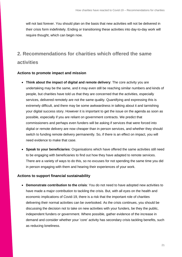will not last forever. You should plan on the basis that new activities will not be delivered in their crisis form indefinitely. Ending or transitioning these activities into day-to-day work will require thought, which can begin now.

## **2. Recommendations for charities which offered the same activities**

#### **Actions to promote impact and mission**

- **Think about the impact of digital and remote delivery**: The core activity you are undertaking may be the same, and it may even still be reaching similar numbers and kinds of people, but charities have told us that they are concerned that the activities, especially services, delivered remotely are not the same quality. Quantifying and expressing this is extremely difficult, and there may be some awkwardness in talking about it and tarnishing your digital success story. However it is important to get the issue on the agenda as soon as possible, especially if you are reliant on government contracts. We predict that commissioners and perhaps even funders will be asking if services that were forced into digital or remote delivery are now cheaper than in person services, and whether they should switch to funding remote delivery permanently. So, if there is an effect on impact, you will need evidence to make that case.
- **Speak to your beneficiaries**: Organisations which have offered the same activities still need to be engaging with beneficiaries to find out how they have adapted to remote services. There are a variety of ways to do this, so no excuses for not spending the same time you did in person engaging with them and hearing their experiences of your work.

#### **Actions to support financial sustainability**

• **Demonstrate contribution to the crisis**: You do not need to have adopted new activities to have made a major contribution to tackling the crisis. But, with all eyes on the health and economic implications of Covid-19, there is a risk that the important role of charities delivering their normal activities can be overlooked. As the crisis continues, you should be discussing the decision not to take on new activities with your funders, be they the public, independent funders or government. Where possible, gather evidence of the increase in demand and consider whether your 'core' activity has secondary crisis tackling benefits, such as reducing loneliness.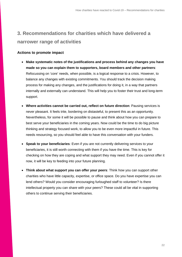# **3. Recommendations for charities which have delivered a narrower range of activities**

#### **Actions to promote impact**

- **Make systematic notes of the justifications and process behind any changes you have made so you can explain them to supporters, board members and other partners**: Refocussing on 'core' needs, when possible, is a logical response to a crisis. However, to balance any changes with existing commitments. You should track the decision making process for making any changes, and the justifications for doing it, in a way that partners internally and externally can understand. This will help you to foster their trust and long-term support.
- **Where activities cannot be carried out, reflect on future direction**: Pausing services is never pleasant. It feels trite, bordering on distasteful, to present this as an opportunity. Nevertheless, for some it will be possible to pause and think about how you can prepare to best serve your beneficiaries in the coming years. Now could be the time to do big picture thinking and strategy focused work, to allow you to be even more impactful in future. This needs resourcing, so you should feel able to have this conversation with your funders.
- **Speak to your beneficiaries**: Even if you are not currently delivering services to your beneficiaries, it is still worth connecting with them if you have the time. This is key for checking on how they are coping and what support they may need. Even if you cannot offer it now, it will be key to feeding into your future planning.
- **Think about what support you can offer your peers**: Think how you can support other charities who have little capacity, expertise, or office space. Do you have expertise you can lend others? Would you consider encouraging furloughed staff to volunteer? Is there intellectual property you can share with your peers? These could all be vital in supporting others to continue serving their beneficiaries.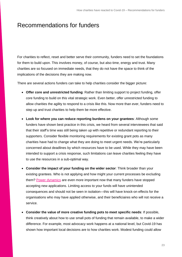# <span id="page-22-0"></span>Recommendations for funders

For charities to reflect, reset and better serve their community, funders need to set the foundations for them to build upon. This involves money, of course, but also time, energy and trust. Many charities are so focused on immediate needs, that they do not have the space to think of the implications of the decisions they are making now.

There are several actions funders can take to help charities consider the bigger picture:

- **Offer core and unrestricted funding**: Rather than limiting support to project funding, offer core funding to build on this vital strategic work. Even better, offer unrestricted funding to allow charities the agility to respond to a crisis like this. Now more than ever, funders need to step up and trust charities to help them be more effective.
- **Look for where you can reduce reporting burdens on your grantees**: Although some funders have shown best practice in this crisis, we heard from several interviewees that said that their staff's time was still being taken up with repetitive or redundant reporting to their supporters. Consider flexible monitoring requirements for existing grant pots as many charities have had to change what they are doing to meet urgent needs. We're particularly concerned about deadlines by which resources have to be used. While they may have been intended to support a crisis response, such limitations can leave charities feeling they have to use the resources in a sub-optimal way.
- **Consider the impact of your funding on the wider sector**: Think broader than your existing grantees. Who is not applying and how might your current processes be excluding them? [Power dynamics](https://www.thinknpc.org/resource-hub/power-dynamics/) are even more important now that many funders have stopped accepting new applications. Limiting access to your funds will have unintended consequences and should not be seen in isolation—this will have knock-on effects for the organisations who may have applied otherwise, and their beneficiaires who will not receive a service.
- **Consider the value of more creative funding pots to meet specific needs**: If possible, think creatively about how to use small pots of funding that remain available, to make a wider difference. For example, most advocacy work happens at a national level, but Covid-19 has shown how important local decisions are to how charities work. Modest funding could allow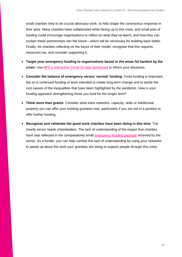small charities time to do crucial advocacy work, to help shape the coronavirus response in their area. Many charities have collaborated while facing up to this crisis, and small pots of funding could encourage organisations to reflect on what they've learnt, and how they can sustain these partnerships into the future—which will be necessary for building back better. Finally, for charities reflecting on the future of their model, recognise that this requires resources too, and consider supporting it.

- **Target your emergency funding to organisations based in the areas hit hardest by the crisis**: Use NPC's interactive [Covid-19 data dashboard](https://www.thinknpc.org/resource-hub/update-interactive-covid-19-data-for-charities-and-funders/) to inform your decisions.
- **Consider the balance of emergency versus 'normal' funding**: Crisis funding is important, but so is continued funding of work intended to create long-term change and to tackle the root causes of the inequalities that have been highlighted by the pandemic. How is your funding approach strengthening those you fund for the longer term?
- **Think more than grants**: Consider what extra networks, capacity, skills or intellectual property you can offer your existing grantees now, particularly if you are not in a position to offer further funding.
- **Recognise and celebrate the good work charities have been doing in this time**: The charity sector needs cheerleaders. The lack of understanding of the impact that charities have was reflected in the comparatively small [emergency funding package](https://www.thinknpc.org/resource-hub/the-750m/) received by the sector. As a funder, you can help combat this lack of understanding by using your networks to speak up about the work your grantees are doing to support people through this crisis.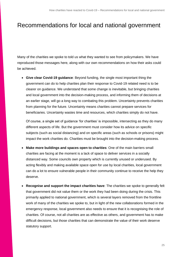# <span id="page-24-0"></span>Recommendations for local and national government

Many of the charities we spoke to told us what they wanted to see from policymakers. We have reproduced those messages here, along with our own recommendations on how their asks could be achieved.

• **Give clear Covid-19 guidance**: Beyond funding, the single most important thing the government can do to help charities plan their response to Covid-19 related need is to be clearer on guidance. We understand that some change is inevitable, but bringing charities and local government into the decision-making process, and informing them of decisions at an earlier stage, will go a long way to combating this problem. Uncertainty prevents charities from planning for the future. Uncertainty means charities cannot prepare services for beneficiaries. Uncertainty wastes time and resources, which charities simply do not have.

Of course, a single set of guidance 'for charities' is impossible, intersecting as they do many different aspects of life. But the government must consider how its advice on specific subjects (such as social distancing) and on specific areas (such as schools or prisons) might impact the work charities do. Charities must be brought into the decision-making process.

- **Make more buildings and spaces open to charities**: One of the main barriers small charities are facing at the moment is a lack of space to deliver services in a socially distanced way. Some councils own property which is currently unused or underused. By acting flexibly and making available space open for use by local charities, local government can do a lot to ensure vulnerable people in their community continue to receive the help they deserve.
- **Recognise and support the impact charities have**: The charities we spoke to generally felt that government did not value them or the work they had been doing during the crisis. This primarily applied to national government, which is several layers removed from the frontline work of many of the charities we spoke to, but in light of the new collaborations formed in the emergency response, local government also needs to ensure that it is recognising the role of charities. Of course, not all charities are as effective as others, and government has to make difficult decisions, but those charities that can demonstrate the value of their work deserve statutory support.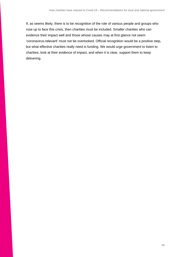If, as seems likely, there is to be recognition of the role of various people and groups who rose up to face this crisis, then charities must be included. Smaller charities who can evidence their impact well and those whose causes may at first glance not seem 'coronavirus-relevant' must not be overlooked. Official recognition would be a positive step, but what effective charities really need is funding. We would urge government to listen to charities, look at their evidence of impact, and when it is clear, support them to keep delivering.